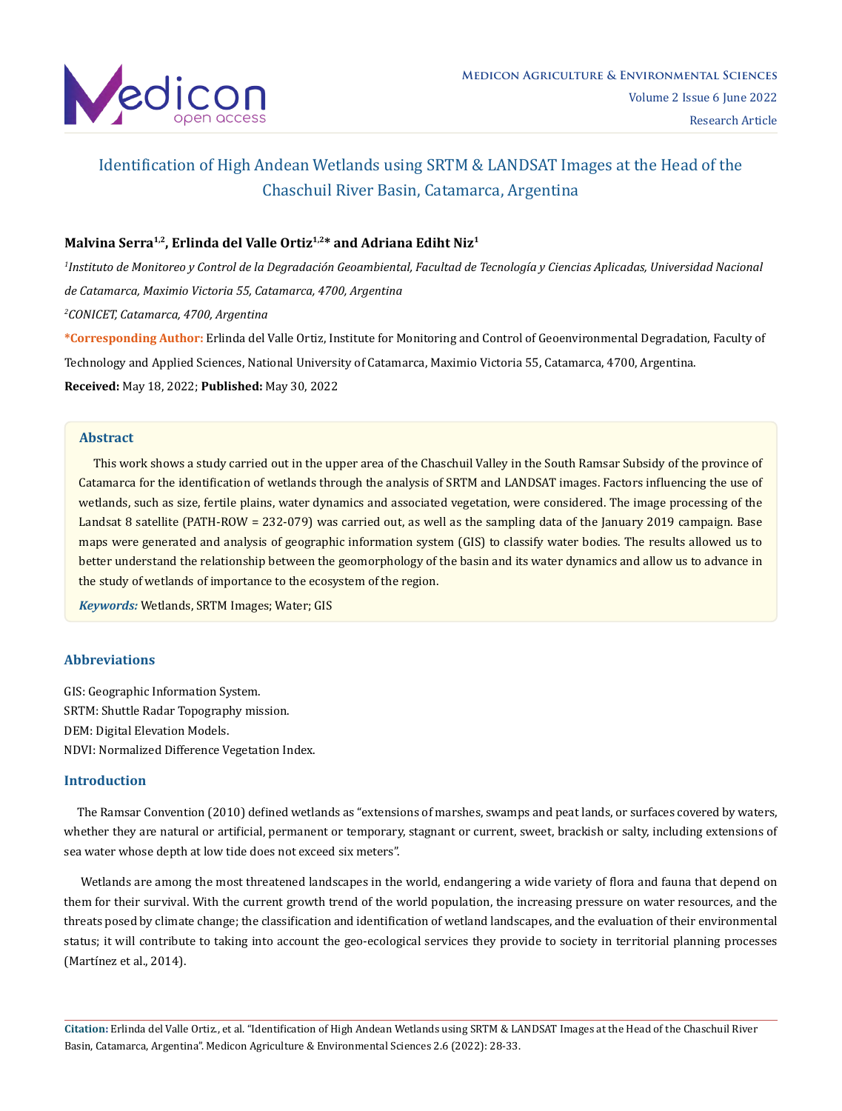

# Malvina Serra<sup>1,2</sup>, Erlinda del Valle Ortiz<sup>1,2\*</sup> and Adriana Ediht Niz<sup>1</sup>

*1 Instituto de Monitoreo y Control de la Degradación Geoambiental, Facultad de Tecnología y Ciencias Aplicadas, Universidad Nacional de Catamarca, Maximio Victoria 55, Catamarca, 4700, Argentina 2 CONICET, Catamarca, 4700, Argentina* **\*Corresponding Author:** Erlinda del Valle Ortiz, Institute for Monitoring and Control of Geoenvironmental Degradation, Faculty of

Technology and Applied Sciences, National University of Catamarca, Maximio Victoria 55, Catamarca, 4700, Argentina. **Received:** May 18, 2022; **Published:** May 30, 2022

# **Abstract**

 This work shows a study carried out in the upper area of the Chaschuil Valley in the South Ramsar Subsidy of the province of Catamarca for the identification of wetlands through the analysis of SRTM and LANDSAT images. Factors influencing the use of wetlands, such as size, fertile plains, water dynamics and associated vegetation, were considered. The image processing of the Landsat 8 satellite (PATH-ROW = 232-079) was carried out, as well as the sampling data of the January 2019 campaign. Base maps were generated and analysis of geographic information system (GIS) to classify water bodies. The results allowed us to better understand the relationship between the geomorphology of the basin and its water dynamics and allow us to advance in the study of wetlands of importance to the ecosystem of the region.

*Keywords:* Wetlands, SRTM Images; Water; GIS

# **Abbreviations**

GIS: Geographic Information System. SRTM: Shuttle Radar Topography mission. DEM: Digital Elevation Models. NDVI: Normalized Difference Vegetation Index.

## **Introduction**

 The Ramsar Convention (2010) defined wetlands as "extensions of marshes, swamps and peat lands, or surfaces covered by waters, whether they are natural or artificial, permanent or temporary, stagnant or current, sweet, brackish or salty, including extensions of sea water whose depth at low tide does not exceed six meters".

 Wetlands are among the most threatened landscapes in the world, endangering a wide variety of flora and fauna that depend on them for their survival. With the current growth trend of the world population, the increasing pressure on water resources, and the threats posed by climate change; the classification and identification of wetland landscapes, and the evaluation of their environmental status; it will contribute to taking into account the geo-ecological services they provide to society in territorial planning processes (Martínez et al., 2014).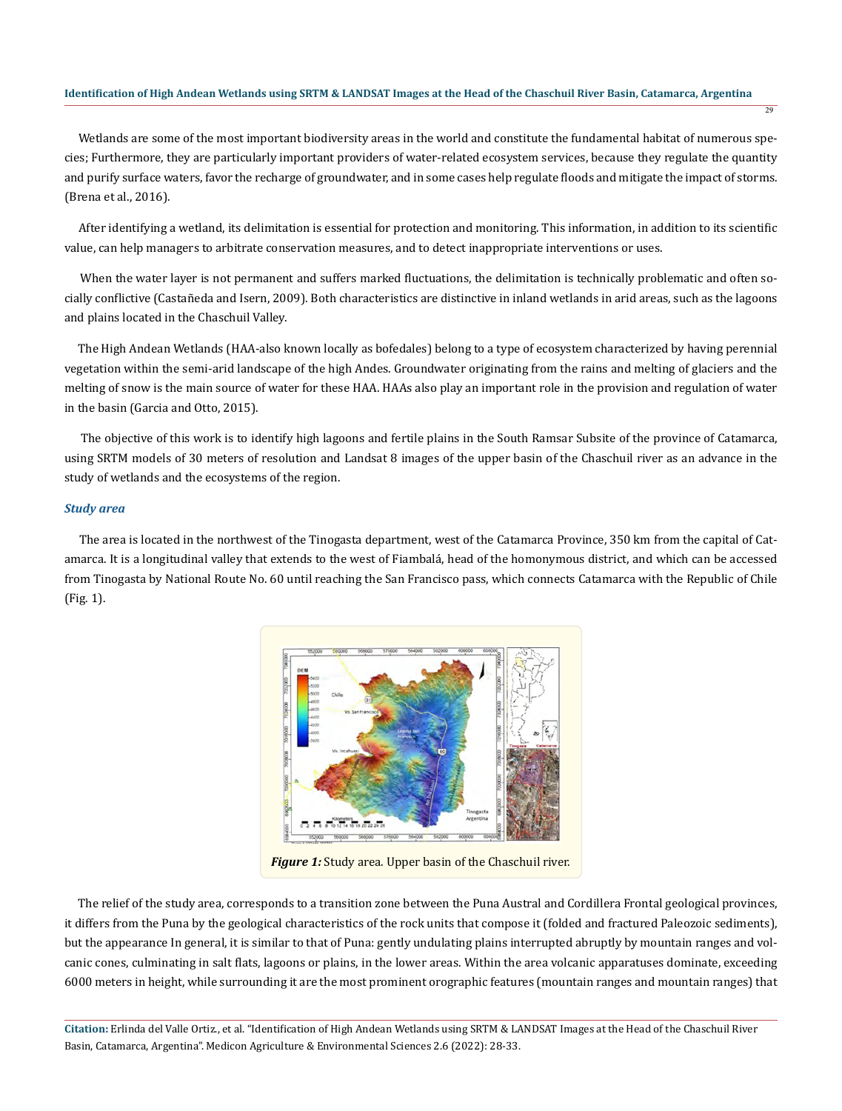Wetlands are some of the most important biodiversity areas in the world and constitute the fundamental habitat of numerous species; Furthermore, they are particularly important providers of water-related ecosystem services, because they regulate the quantity and purify surface waters, favor the recharge of groundwater, and in some cases help regulate floods and mitigate the impact of storms. (Brena et al., 2016).

 After identifying a wetland, its delimitation is essential for protection and monitoring. This information, in addition to its scientific value, can help managers to arbitrate conservation measures, and to detect inappropriate interventions or uses.

 When the water layer is not permanent and suffers marked fluctuations, the delimitation is technically problematic and often socially conflictive (Castañeda and Isern, 2009). Both characteristics are distinctive in inland wetlands in arid areas, such as the lagoons and plains located in the Chaschuil Valley.

 The High Andean Wetlands (HAA-also known locally as bofedales) belong to a type of ecosystem characterized by having perennial vegetation within the semi-arid landscape of the high Andes. Groundwater originating from the rains and melting of glaciers and the melting of snow is the main source of water for these HAA. HAAs also play an important role in the provision and regulation of water in the basin (Garcia and Otto, 2015).

 The objective of this work is to identify high lagoons and fertile plains in the South Ramsar Subsite of the province of Catamarca, using SRTM models of 30 meters of resolution and Landsat 8 images of the upper basin of the Chaschuil river as an advance in the study of wetlands and the ecosystems of the region.

## *Study area*

 The area is located in the northwest of the Tinogasta department, west of the Catamarca Province, 350 km from the capital of Catamarca. It is a longitudinal valley that extends to the west of Fiambalá, head of the homonymous district, and which can be accessed from Tinogasta by National Route No. 60 until reaching the San Francisco pass, which connects Catamarca with the Republic of Chile (Fig. 1).



*Figure 1:* Study area. Upper basin of the Chaschuil river.

 The relief of the study area, corresponds to a transition zone between the Puna Austral and Cordillera Frontal geological provinces, it differs from the Puna by the geological characteristics of the rock units that compose it (folded and fractured Paleozoic sediments), but the appearance In general, it is similar to that of Puna: gently undulating plains interrupted abruptly by mountain ranges and volcanic cones, culminating in salt flats, lagoons or plains, in the lower areas. Within the area volcanic apparatuses dominate, exceeding 6000 meters in height, while surrounding it are the most prominent orographic features (mountain ranges and mountain ranges) that

**Citation:** Erlinda del Valle Ortiz., et al. "Identification of High Andean Wetlands using SRTM & LANDSAT Images at the Head of the Chaschuil River Basin, Catamarca, Argentina". Medicon Agriculture & Environmental Sciences 2.6 (2022): 28-33.

29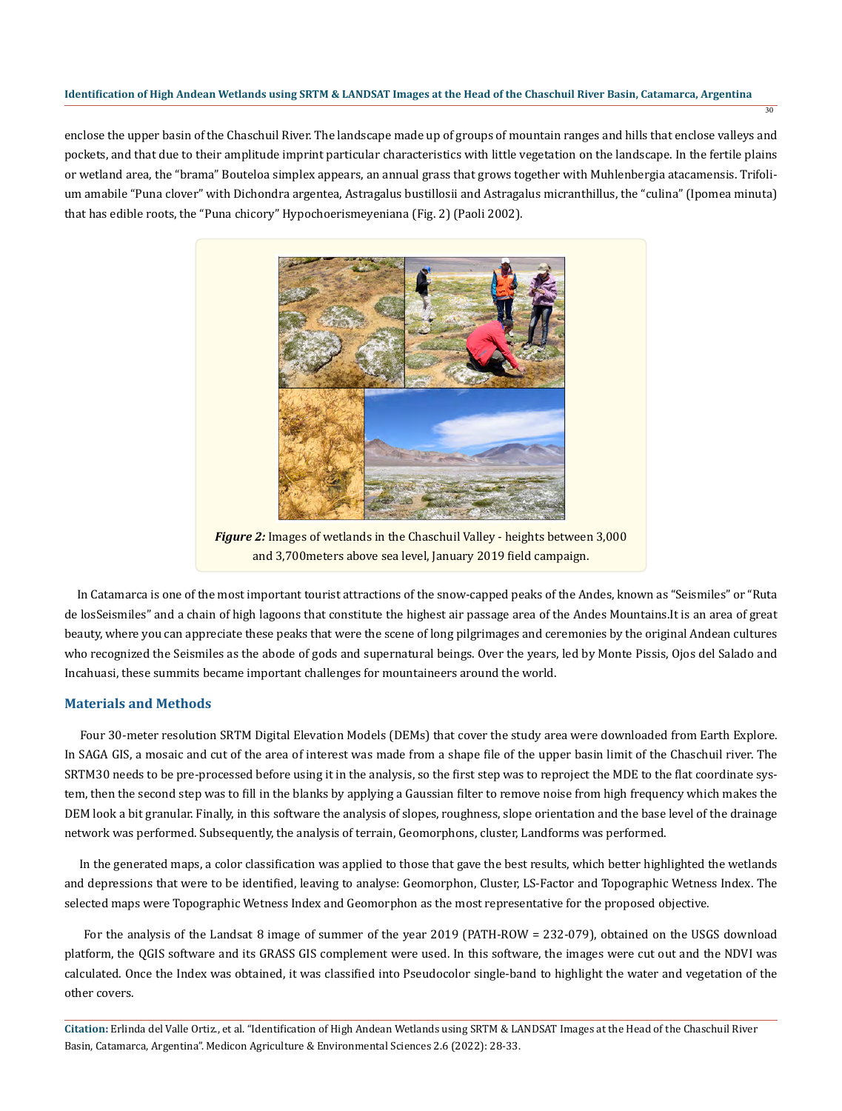enclose the upper basin of the Chaschuil River. The landscape made up of groups of mountain ranges and hills that enclose valleys and pockets, and that due to their amplitude imprint particular characteristics with little vegetation on the landscape. In the fertile plains or wetland area, the "brama" Bouteloa simplex appears, an annual grass that grows together with Muhlenbergia atacamensis. Trifolium amabile "Puna clover" with Dichondra argentea, Astragalus bustillosii and Astragalus micranthillus, the "culina" (Ipomea minuta) that has edible roots, the "Puna chicory" Hypochoerismeyeniana (Fig. 2) (Paoli 2002).

30



*Figure 2:* Images of wetlands in the Chaschuil Valley - heights between 3,000 and 3,700meters above sea level, January 2019 field campaign.

 In Catamarca is one of the most important tourist attractions of the snow-capped peaks of the Andes, known as "Seismiles" or "Ruta de losSeismiles" and a chain of high lagoons that constitute the highest air passage area of the Andes Mountains.It is an area of great beauty, where you can appreciate these peaks that were the scene of long pilgrimages and ceremonies by the original Andean cultures who recognized the Seismiles as the abode of gods and supernatural beings. Over the years, led by Monte Pissis, Ojos del Salado and Incahuasi, these summits became important challenges for mountaineers around the world.

## **Materials and Methods**

 Four 30-meter resolution SRTM Digital Elevation Models (DEMs) that cover the study area were downloaded from Earth Explore. In SAGA GIS, a mosaic and cut of the area of interest was made from a shape file of the upper basin limit of the Chaschuil river. The SRTM30 needs to be pre-processed before using it in the analysis, so the first step was to reproject the MDE to the flat coordinate system, then the second step was to fill in the blanks by applying a Gaussian filter to remove noise from high frequency which makes the DEM look a bit granular. Finally, in this software the analysis of slopes, roughness, slope orientation and the base level of the drainage network was performed. Subsequently, the analysis of terrain, Geomorphons, cluster, Landforms was performed.

 In the generated maps, a color classification was applied to those that gave the best results, which better highlighted the wetlands and depressions that were to be identified, leaving to analyse: Geomorphon, Cluster, LS-Factor and Topographic Wetness Index. The selected maps were Topographic Wetness Index and Geomorphon as the most representative for the proposed objective.

 For the analysis of the Landsat 8 image of summer of the year 2019 (PATH-ROW = 232-079), obtained on the USGS download platform, the QGIS software and its GRASS GIS complement were used. In this software, the images were cut out and the NDVI was calculated. Once the Index was obtained, it was classified into Pseudocolor single-band to highlight the water and vegetation of the other covers.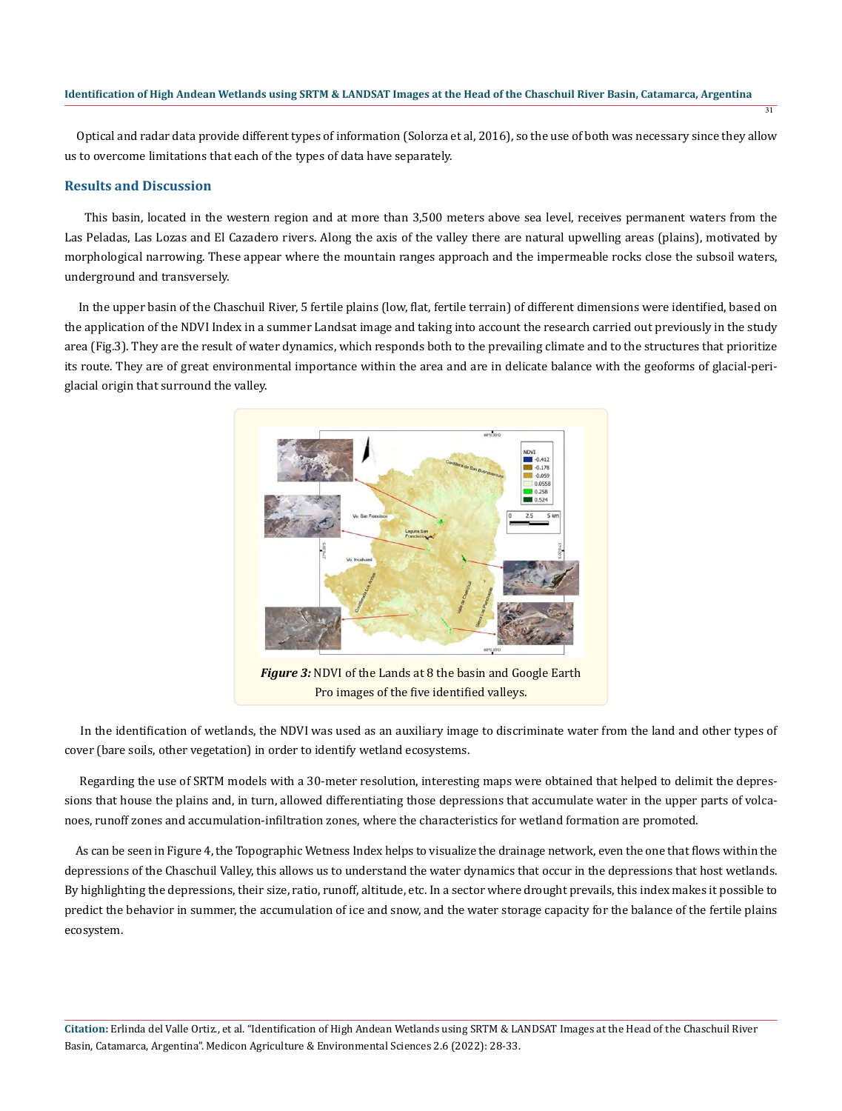Optical and radar data provide different types of information (Solorza et al, 2016), so the use of both was necessary since they allow us to overcome limitations that each of the types of data have separately.

31

# **Results and Discussion**

 This basin, located in the western region and at more than 3,500 meters above sea level, receives permanent waters from the Las Peladas, Las Lozas and El Cazadero rivers. Along the axis of the valley there are natural upwelling areas (plains), motivated by morphological narrowing. These appear where the mountain ranges approach and the impermeable rocks close the subsoil waters, underground and transversely.

 In the upper basin of the Chaschuil River, 5 fertile plains (low, flat, fertile terrain) of different dimensions were identified, based on the application of the NDVI Index in a summer Landsat image and taking into account the research carried out previously in the study area (Fig.3). They are the result of water dynamics, which responds both to the prevailing climate and to the structures that prioritize its route. They are of great environmental importance within the area and are in delicate balance with the geoforms of glacial-periglacial origin that surround the valley.



*Figure 3:* NDVI of the Lands at 8 the basin and Google Earth Pro images of the five identified valleys.

 In the identification of wetlands, the NDVI was used as an auxiliary image to discriminate water from the land and other types of cover (bare soils, other vegetation) in order to identify wetland ecosystems.

 Regarding the use of SRTM models with a 30-meter resolution, interesting maps were obtained that helped to delimit the depressions that house the plains and, in turn, allowed differentiating those depressions that accumulate water in the upper parts of volcanoes, runoff zones and accumulation-infiltration zones, where the characteristics for wetland formation are promoted.

 As can be seen in Figure 4, the Topographic Wetness Index helps to visualize the drainage network, even the one that flows within the depressions of the Chaschuil Valley, this allows us to understand the water dynamics that occur in the depressions that host wetlands. By highlighting the depressions, their size, ratio, runoff, altitude, etc. In a sector where drought prevails, this index makes it possible to predict the behavior in summer, the accumulation of ice and snow, and the water storage capacity for the balance of the fertile plains ecosystem.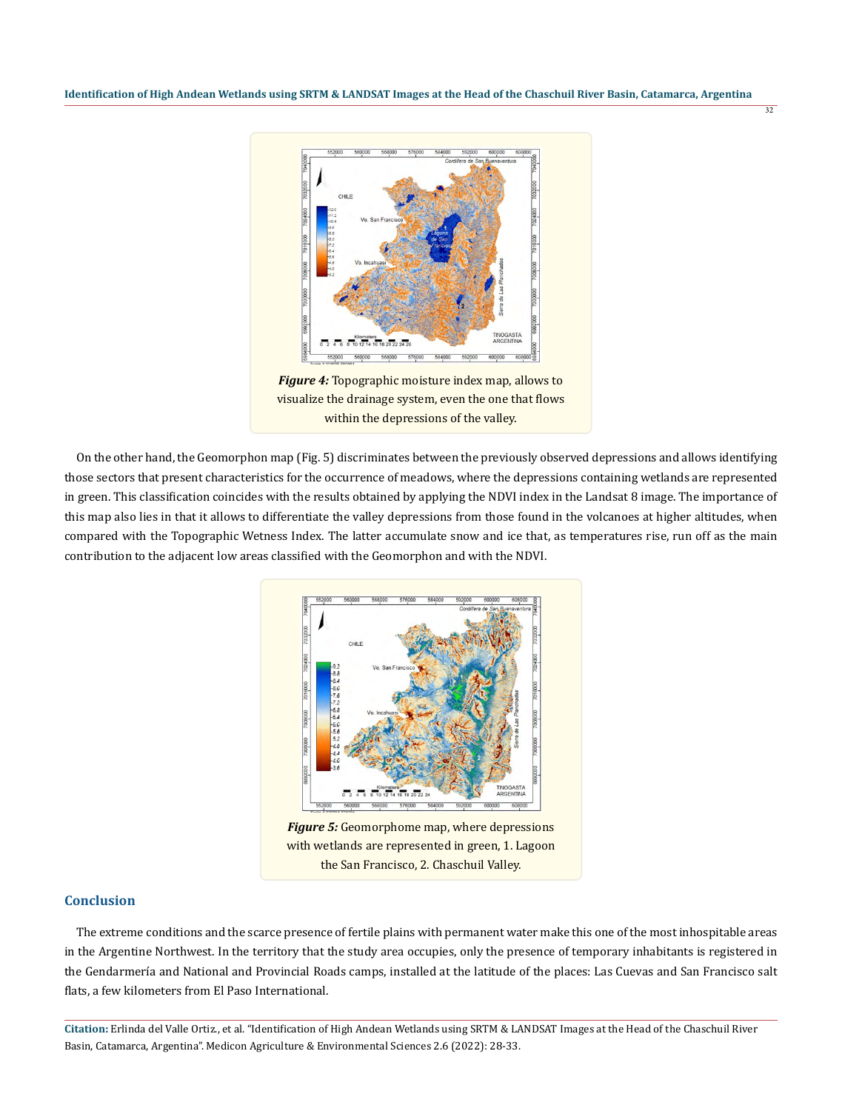32



visualize the drainage system, even the one that flows within the depressions of the valley.

 On the other hand, the Geomorphon map (Fig. 5) discriminates between the previously observed depressions and allows identifying those sectors that present characteristics for the occurrence of meadows, where the depressions containing wetlands are represented in green. This classification coincides with the results obtained by applying the NDVI index in the Landsat 8 image. The importance of this map also lies in that it allows to differentiate the valley depressions from those found in the volcanoes at higher altitudes, when compared with the Topographic Wetness Index. The latter accumulate snow and ice that, as temperatures rise, run off as the main contribution to the adjacent low areas classified with the Geomorphon and with the NDVI.



*Figure 5:* Geomorphome map, where depressions with wetlands are represented in green, 1. Lagoon the San Francisco, 2. Chaschuil Valley.

# **Conclusion**

 The extreme conditions and the scarce presence of fertile plains with permanent water make this one of the most inhospitable areas in the Argentine Northwest. In the territory that the study area occupies, only the presence of temporary inhabitants is registered in the Gendarmería and National and Provincial Roads camps, installed at the latitude of the places: Las Cuevas and San Francisco salt flats, a few kilometers from El Paso International.